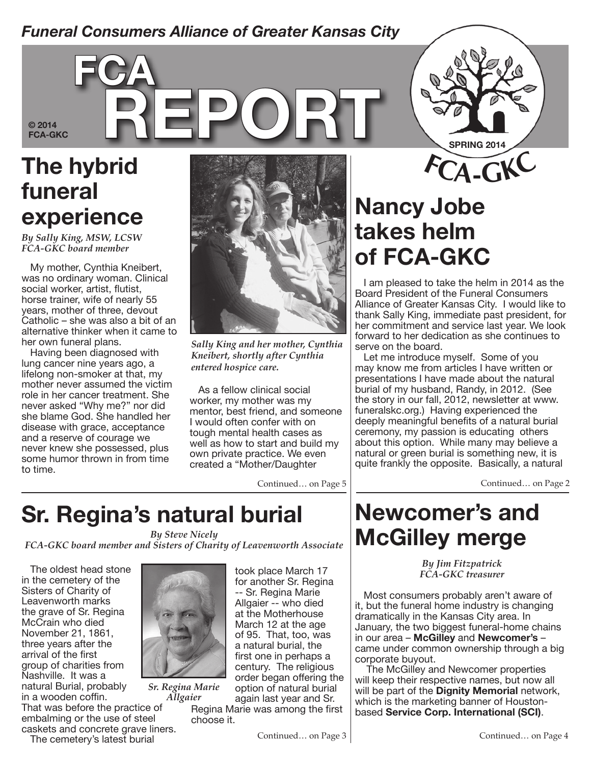#### *Funeral Consumers Alliance of Greater Kansas City*

**© 2014** 

# **FCA-GKC REPORT The hybrid funeral experience**

**fca**

*By Sally King, MSW, LCSW FCA-GKC board member*

My mother, Cynthia Kneibert, was no ordinary woman. Clinical social worker, artist, flutist, horse trainer, wife of nearly 55 years, mother of three, devout Catholic – she was also a bit of an alternative thinker when it came to her own funeral plans.

Having been diagnosed with lung cancer nine years ago, a lifelong non-smoker at that, my mother never assumed the victim role in her cancer treatment. She never asked "Why me?" nor did she blame God. She handled her disease with grace, acceptance and a reserve of courage we never knew she possessed, plus some humor thrown in from time to time.



*Sally King and her mother, Cynthia Kneibert, shortly after Cynthia entered hospice care.* 

As a fellow clinical social worker, my mother was my mentor, best friend, and someone I would often confer with on tough mental health cases as well as how to start and build my own private practice. We even created a "Mother/Daughter

Continued… on Page 5

# **Nancy Jobe takes helm of FCA-GKC**

I am pleased to take the helm in 2014 as the Board President of the Funeral Consumers Alliance of Greater Kansas City. I would like to thank Sally King, immediate past president, for her commitment and service last year. We look forward to her dedication as she continues to serve on the board.

**<sup>F</sup>CA-GKC**

**SPRING 2014**

Let me introduce myself. Some of you may know me from articles I have written or presentations I have made about the natural burial of my husband, Randy, in 2012. (See the story in our fall, 2012, newsletter at www. funeralskc.org.) Having experienced the deeply meaningful benefits of a natural burial ceremony, my passion is educating others about this option. While many may believe a natural or green burial is something new, it is quite frankly the opposite. Basically, a natural

Continued… on Page 2

### **Sr. Regina's natural burial**

*By Steve Nicely*

*FCA-GKC board member and Sisters of Charity of Leavenworth Associate*

The oldest head stone in the cemetery of the Sisters of Charity of Leavenworth marks the grave of Sr. Regina McCrain who died November 21, 1861, three years after the arrival of the first group of charities from Nashville. It was a natural Burial, probably in a wooden coffin. That was before the practice of



*Sr. Regina Marie Allgaier*

took place March 17 for another Sr. Regina -- Sr. Regina Marie Allgaier -- who died at the Motherhouse March 12 at the age of 95. That, too, was a natural burial, the first one in perhaps a century. The religious order began offering the option of natural burial again last year and Sr.

Regina Marie was among the first choose it.

Continued… on Page 3

#### **Newcomer's and McGilley merge**

*By Jim Fitzpatrick*

Most consumers probably aren't aware of it, but the funeral home industry is changing dramatically in the Kansas City area. In January, the two biggest funeral-home chains in our area – **McGilley** and **Newcomer's** – came under common ownership through a big corporate buyout.

 The McGilley and Newcomer properties will keep their respective names, but now all will be part of the **Dignity Memorial** network, which is the marketing banner of Houstonbased **Service Corp. International (SCI)**.

# *FCA-GKC treasurer*

embalming or the use of steel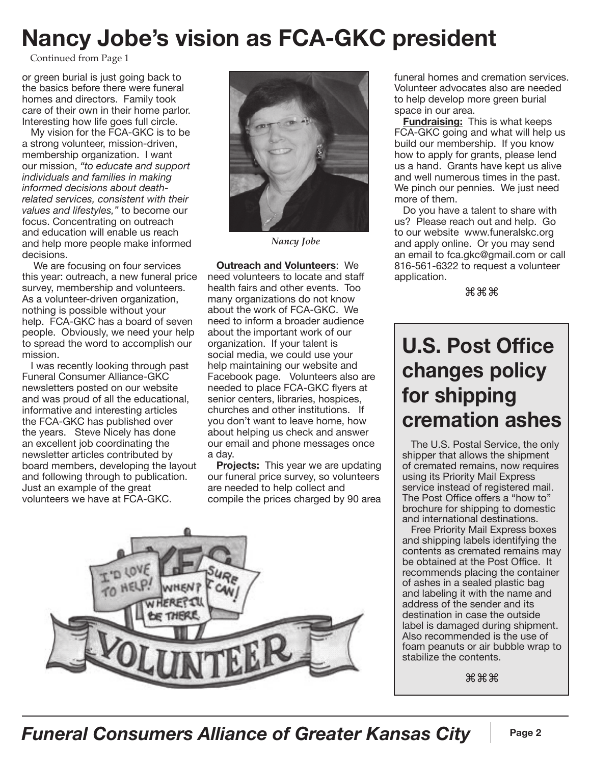### **Nancy Jobe's vision as FCA-GKC president**

Continued from Page 1

or green burial is just going back to the basics before there were funeral homes and directors. Family took care of their own in their home parlor. Interesting how life goes full circle.

My vision for the FCA-GKC is to be a strong volunteer, mission-driven, membership organization. I want our mission, *"to educate and support individuals and families in making informed decisions about deathrelated services, consistent with their values and lifestyles,"* to become our focus. Concentrating on outreach and education will enable us reach and help more people make informed decisions.

 We are focusing on four services this year: outreach, a new funeral price survey, membership and volunteers. As a volunteer-driven organization, nothing is possible without your help. FCA-GKC has a board of seven people. Obviously, we need your help to spread the word to accomplish our mission.

I was recently looking through past Funeral Consumer Alliance-GKC newsletters posted on our website and was proud of all the educational, informative and interesting articles the FCA-GKC has published over the years. Steve Nicely has done an excellent job coordinating the newsletter articles contributed by board members, developing the layout and following through to publication. Just an example of the great volunteers we have at FCA-GKC.



*Nancy Jobe*

**Outreach and Volunteers**: We need volunteers to locate and staff health fairs and other events. Too many organizations do not know about the work of FCA-GKC. We need to inform a broader audience about the important work of our organization. If your talent is social media, we could use your help maintaining our website and Facebook page. Volunteers also are needed to place FCA-GKC flyers at senior centers, libraries, hospices, churches and other institutions. If you don't want to leave home, how about helping us check and answer our email and phone messages once a day.

**Projects:** This year we are updating our funeral price survey, so volunteers are needed to help collect and compile the prices charged by 90 area



funeral homes and cremation services. Volunteer advocates also are needed to help develop more green burial space in our area.

**Fundraising:** This is what keeps FCA-GKC going and what will help us build our membership. If you know how to apply for grants, please lend us a hand. Grants have kept us alive and well numerous times in the past. We pinch our pennies. We just need more of them.

Do you have a talent to share with us? Please reach out and help. Go to our website www.funeralskc.org and apply online. Or you may send an email to fca.gkc@gmail.com or call 816-561-6322 to request a volunteer application.

⌘⌘⌘

#### **U.S. Post Office changes policy for shipping cremation ashes**

The U.S. Postal Service, the only shipper that allows the shipment of cremated remains, now requires using its Priority Mail Express service instead of registered mail. The Post Office offers a "how to" brochure for shipping to domestic and international destinations.

Free Priority Mail Express boxes and shipping labels identifying the contents as cremated remains may be obtained at the Post Office. It recommends placing the container of ashes in a sealed plastic bag and labeling it with the name and address of the sender and its destination in case the outside label is damaged during shipment. Also recommended is the use of foam peanuts or air bubble wrap to stabilize the contents.

⌘⌘⌘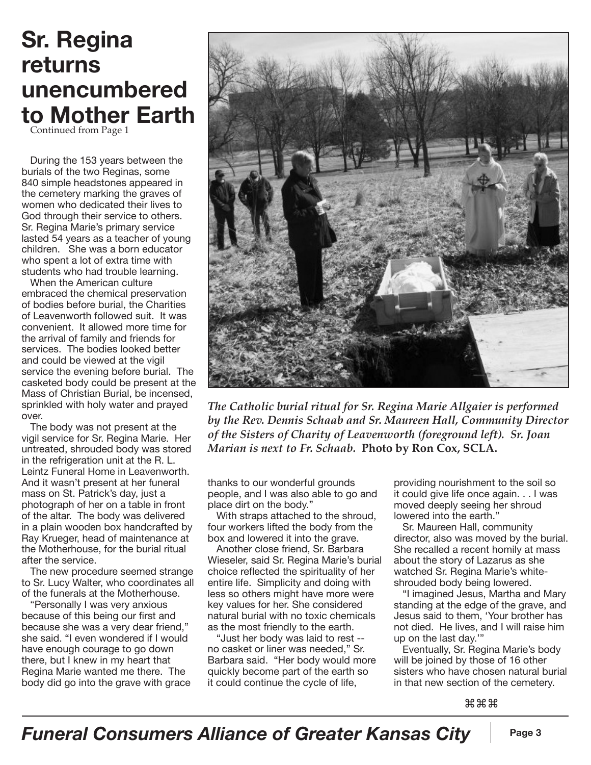#### **Sr. Regina returns unencumbered to Mother Earth**

Continued from Page 1

During the 153 years between the burials of the two Reginas, some 840 simple headstones appeared in the cemetery marking the graves of women who dedicated their lives to God through their service to others. Sr. Regina Marie's primary service lasted 54 years as a teacher of young children. She was a born educator who spent a lot of extra time with students who had trouble learning.

When the American culture embraced the chemical preservation of bodies before burial, the Charities of Leavenworth followed suit. It was convenient. It allowed more time for the arrival of family and friends for services. The bodies looked better and could be viewed at the vigil service the evening before burial. The casketed body could be present at the Mass of Christian Burial, be incensed, sprinkled with holy water and prayed over.

The body was not present at the vigil service for Sr. Regina Marie. Her untreated, shrouded body was stored in the refrigeration unit at the R. L. Leintz Funeral Home in Leavenworth. And it wasn't present at her funeral mass on St. Patrick's day, just a photograph of her on a table in front of the altar. The body was delivered in a plain wooden box handcrafted by Ray Krueger, head of maintenance at the Motherhouse, for the burial ritual after the service.

The new procedure seemed strange to Sr. Lucy Walter, who coordinates all of the funerals at the Motherhouse.

"Personally I was very anxious because of this being our first and because she was a very dear friend," she said. "I even wondered if I would have enough courage to go down there, but I knew in my heart that Regina Marie wanted me there. The body did go into the grave with grace



*The Catholic burial ritual for Sr. Regina Marie Allgaier is performed by the Rev. Dennis Schaab and Sr. Maureen Hall, Community Director of the Sisters of Charity of Leavenworth (foreground left). Sr. Joan Marian is next to Fr. Schaab.* **Photo by Ron Cox, SCLA.** 

thanks to our wonderful grounds people, and I was also able to go and place dirt on the body."

With straps attached to the shroud, four workers lifted the body from the box and lowered it into the grave.

Another close friend, Sr. Barbara Wieseler, said Sr. Regina Marie's burial choice reflected the spirituality of her entire life. Simplicity and doing with less so others might have more were key values for her. She considered natural burial with no toxic chemicals as the most friendly to the earth.

"Just her body was laid to rest - no casket or liner was needed," Sr. Barbara said. "Her body would more quickly become part of the earth so it could continue the cycle of life,

providing nourishment to the soil so it could give life once again. . . I was moved deeply seeing her shroud lowered into the earth."

Sr. Maureen Hall, community director, also was moved by the burial. She recalled a recent homily at mass about the story of Lazarus as she watched Sr. Regina Marie's whiteshrouded body being lowered.

"I imagined Jesus, Martha and Mary standing at the edge of the grave, and Jesus said to them, 'Your brother has not died. He lives, and I will raise him up on the last day.'"

Eventually, Sr. Regina Marie's body will be joined by those of 16 other sisters who have chosen natural burial in that new section of the cemetery.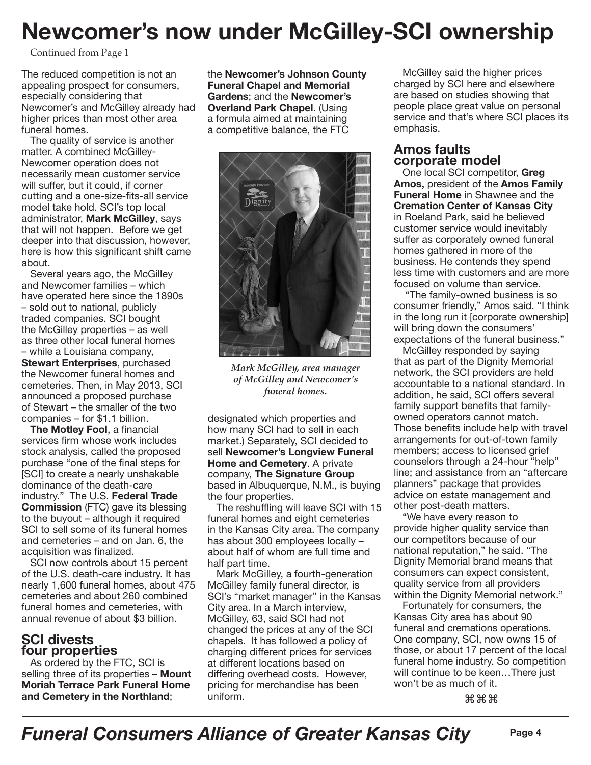## **Newcomer's now under McGilley-SCI ownership**

Continued from Page 1

The reduced competition is not an appealing prospect for consumers, especially considering that Newcomer's and McGilley already had higher prices than most other area funeral homes.

The quality of service is another matter. A combined McGilley-Newcomer operation does not necessarily mean customer service will suffer, but it could, if corner cutting and a one-size-fits-all service model take hold. SCI's top local administrator, **Mark McGilley**, says that will not happen. Before we get deeper into that discussion, however, here is how this significant shift came about.

Several years ago, the McGilley and Newcomer families – which have operated here since the 1890s – sold out to national, publicly traded companies. SCI bought the McGilley properties – as well as three other local funeral homes – while a Louisiana company,

**Stewart Enterprises**, purchased the Newcomer funeral homes and cemeteries. Then, in May 2013, SCI announced a proposed purchase of Stewart – the smaller of the two companies – for \$1.1 billion.

**The Motley Fool**, a financial services firm whose work includes stock analysis, called the proposed purchase "one of the final steps for [SCI] to create a nearly unshakable dominance of the death-care industry." The U.S. **Federal Trade Commission** (FTC) gave its blessing to the buyout – although it required SCI to sell some of its funeral homes and cemeteries – and on Jan. 6, the acquisition was finalized.

SCI now controls about 15 percent of the U.S. death-care industry. It has nearly 1,600 funeral homes, about 475 cemeteries and about 260 combined funeral homes and cemeteries, with annual revenue of about \$3 billion.

#### **SCI divests four properties**

As ordered by the FTC, SCI is selling three of its properties – **Mount Moriah Terrace Park Funeral Home and Cemetery in the Northland**;

the **Newcomer's Johnson County Funeral Chapel and Memorial Gardens**; and the **Newcomer's Overland Park Chapel**. (Using a formula aimed at maintaining a competitive balance, the FTC



*Mark McGilley, area manager of McGilley and Newcomer's funeral homes.*

designated which properties and how many SCI had to sell in each market.) Separately, SCI decided to sell **Newcomer's Longview Funeral Home and Cemetery**. A private company, **The Signature Group** based in Albuquerque, N.M., is buying the four properties.

The reshuffling will leave SCI with 15 funeral homes and eight cemeteries in the Kansas City area. The company has about 300 employees locally – about half of whom are full time and half part time.

Mark McGilley, a fourth-generation McGilley family funeral director, is SCI's "market manager" in the Kansas City area. In a March interview, McGilley, 63, said SCI had not changed the prices at any of the SCI chapels. It has followed a policy of charging different prices for services at different locations based on differing overhead costs. However, pricing for merchandise has been uniform.

McGilley said the higher prices charged by SCI here and elsewhere are based on studies showing that people place great value on personal service and that's where SCI places its emphasis.

#### **Amos faults corporate model**

One local SCI competitor, **Greg Amos,** president of the **Amos Family Funeral Home** in Shawnee and the **Cremation Center of Kansas City** in Roeland Park, said he believed customer service would inevitably suffer as corporately owned funeral homes gathered in more of the business. He contends they spend less time with customers and are more focused on volume than service.

 "The family-owned business is so consumer friendly," Amos said. "I think in the long run it [corporate ownership] will bring down the consumers' expectations of the funeral business."

McGilley responded by saying that as part of the Dignity Memorial network, the SCI providers are held accountable to a national standard. In addition, he said, SCI offers several family support benefits that familyowned operators cannot match. Those benefits include help with travel arrangements for out-of-town family members; access to licensed grief counselors through a 24-hour "help" line; and assistance from an "aftercare planners" package that provides advice on estate management and other post-death matters.

"We have every reason to provide higher quality service than our competitors because of our national reputation," he said. "The Dignity Memorial brand means that consumers can expect consistent, quality service from all providers within the Dignity Memorial network."

Fortunately for consumers, the Kansas City area has about 90 funeral and cremations operations. One company, SCI, now owns 15 of those, or about 17 percent of the local funeral home industry. So competition will continue to be keen…There just won't be as much of it.

⌘⌘⌘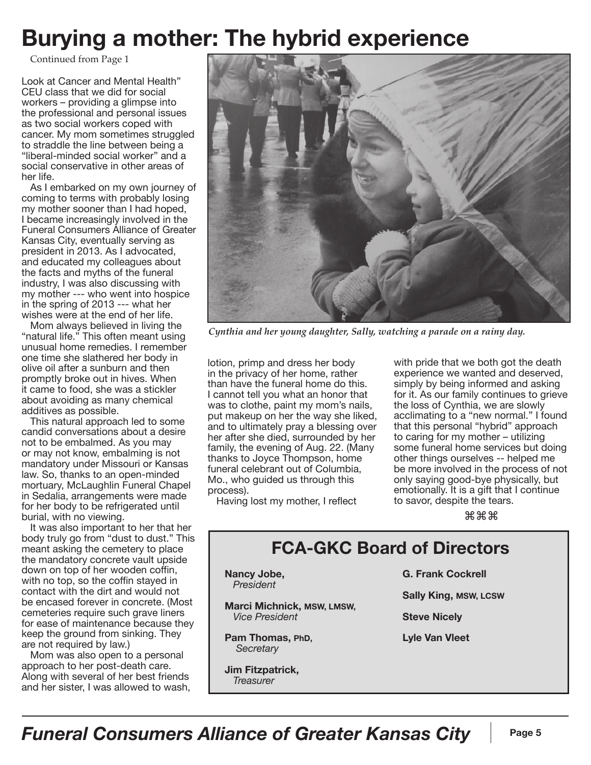#### **Burying a mother: The hybrid experience**

Continued from Page 1

Look at Cancer and Mental Health" CEU class that we did for social workers – providing a glimpse into the professional and personal issues as two social workers coped with cancer. My mom sometimes struggled to straddle the line between being a "liberal-minded social worker" and a social conservative in other areas of her life.

As I embarked on my own journey of coming to terms with probably losing my mother sooner than I had hoped, I became increasingly involved in the Funeral Consumers Alliance of Greater Kansas City, eventually serving as president in 2013. As I advocated, and educated my colleagues about the facts and myths of the funeral industry, I was also discussing with my mother --- who went into hospice in the spring of 2013 --- what her wishes were at the end of her life.

Mom always believed in living the "natural life." This often meant using unusual home remedies. I remember one time she slathered her body in olive oil after a sunburn and then promptly broke out in hives. When it came to food, she was a stickler about avoiding as many chemical additives as possible.

This natural approach led to some candid conversations about a desire not to be embalmed. As you may or may not know, embalming is not mandatory under Missouri or Kansas law. So, thanks to an open-minded mortuary, McLaughlin Funeral Chapel in Sedalia, arrangements were made for her body to be refrigerated until burial, with no viewing.

It was also important to her that her body truly go from "dust to dust." This meant asking the cemetery to place the mandatory concrete vault upside down on top of her wooden coffin, with no top, so the coffin stayed in contact with the dirt and would not be encased forever in concrete. (Most cemeteries require such grave liners for ease of maintenance because they keep the ground from sinking. They are not required by law.)

Mom was also open to a personal approach to her post-death care. Along with several of her best friends and her sister, I was allowed to wash,



*Cynthia and her young daughter, Sally, watching a parade on a rainy day.*

lotion, primp and dress her body in the privacy of her home, rather than have the funeral home do this. I cannot tell you what an honor that was to clothe, paint my mom's nails, put makeup on her the way she liked, and to ultimately pray a blessing over her after she died, surrounded by her family, the evening of Aug. 22. (Many thanks to Joyce Thompson, home funeral celebrant out of Columbia, Mo., who guided us through this process).

Having lost my mother, I reflect

with pride that we both got the death experience we wanted and deserved, simply by being informed and asking for it. As our family continues to grieve the loss of Cynthia, we are slowly acclimating to a "new normal." I found that this personal "hybrid" approach to caring for my mother – utilizing some funeral home services but doing other things ourselves -- helped me be more involved in the process of not only saying good-bye physically, but emotionally. It is a gift that I continue to savor, despite the tears.

⌘⌘⌘

#### **FCA-GKC Board of Directors**

**Nancy Jobe,**  *President*

**Marci Michnick, MSW, LMSW,**  *Vice President*

**Pam Thomas, PhD,**  *Secretary*

**Jim Fitzpatrick,**   *Treasurer*

**G. Frank Cockrell**

**Sally King, MSW, LCSW**

**Steve Nicely**

**Lyle Van Vleet**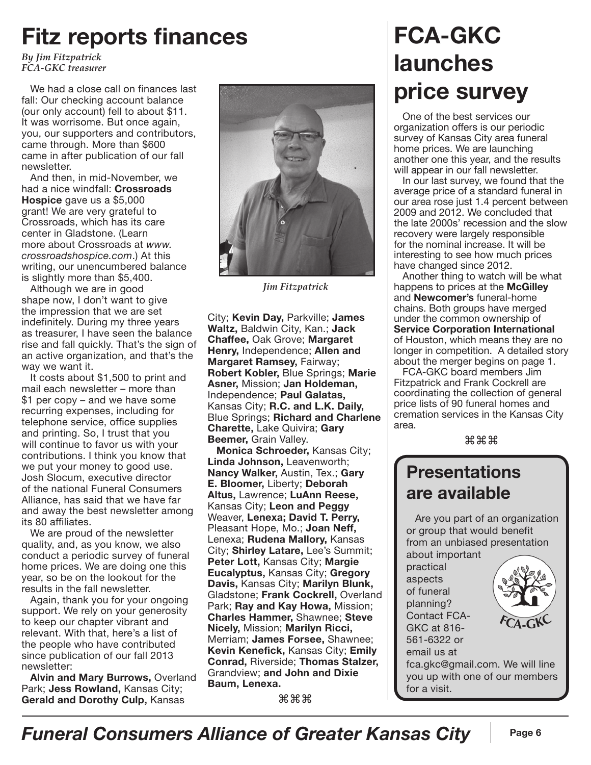#### **Fitz reports finances**

*By Jim Fitzpatrick FCA-GKC treasurer*

We had a close call on finances last fall: Our checking account balance (our only account) fell to about \$11. It was worrisome. But once again, you, our supporters and contributors, came through. More than \$600 came in after publication of our fall newsletter.

And then, in mid-November, we had a nice windfall: **Crossroads Hospice** gave us a \$5,000 grant! We are very grateful to Crossroads, which has its care center in Gladstone. (Learn more about Crossroads at *www. crossroadshospice.com*.) At this writing, our unencumbered balance is slightly more than \$5,400.

Although we are in good shape now, I don't want to give the impression that we are set indefinitely. During my three years as treasurer, I have seen the balance rise and fall quickly. That's the sign of an active organization, and that's the way we want it.

It costs about \$1,500 to print and mail each newsletter – more than \$1 per copy – and we have some recurring expenses, including for telephone service, office supplies and printing. So, I trust that you will continue to favor us with your contributions. I think you know that we put your money to good use. Josh Slocum, executive director of the national Funeral Consumers Alliance, has said that we have far and away the best newsletter among its 80 affiliates.

We are proud of the newsletter quality, and, as you know, we also conduct a periodic survey of funeral home prices. We are doing one this year, so be on the lookout for the results in the fall newsletter.

Again, thank you for your ongoing support. We rely on your generosity to keep our chapter vibrant and relevant. With that, here's a list of the people who have contributed since publication of our fall 2013 newsletter:

**Alvin and Mary Burrows,** Overland Park; **Jess Rowland,** Kansas City; **Gerald and Dorothy Culp,** Kansas



*Jim Fitzpatrick*

City; **Kevin Day,** Parkville; **James Waltz,** Baldwin City, Kan.; **Jack Chaffee,** Oak Grove; **Margaret Henry,** Independence; **Allen and Margaret Ramsey,** Fairway; **Robert Kobler,** Blue Springs; **Marie Asner,** Mission; **Jan Holdeman,**  Independence; **Paul Galatas,**  Kansas City; **R.C. and L.K. Daily,**  Blue Springs; **Richard and Charlene Charette,** Lake Quivira; **Gary Beemer,** Grain Valley.

**Monica Schroeder,** Kansas City; **Linda Johnson,** Leavenworth; **Nancy Walker,** Austin, Tex.; **Gary E. Bloomer,** Liberty; **Deborah Altus,** Lawrence; **LuAnn Reese,**  Kansas City; **Leon and Peggy**  Weaver, **Lenexa; David T. Perry,**  Pleasant Hope, Mo.; **Joan Neff,**  Lenexa; **Rudena Mallory,** Kansas City; **Shirley Latare,** Lee's Summit; **Peter Lott,** Kansas City; **Margie Eucalyptus,** Kansas City; **Gregory Davis,** Kansas City; **Marilyn Blunk,**  Gladstone; **Frank Cockrell,** Overland Park; **Ray and Kay Howa,** Mission; **Charles Hammer,** Shawnee; **Steve Nicely,** Mission; **Marilyn Ricci,**  Merriam; **James Forsee,** Shawnee; **Kevin Kenefick,** Kansas City; **Emily Conrad,** Riverside; **Thomas Stalzer,**  Grandview; **and John and Dixie Baum, Lenexa.** 

⌘⌘⌘

# **FCA-GKC launches price survey**

One of the best services our organization offers is our periodic survey of Kansas City area funeral home prices. We are launching another one this year, and the results will appear in our fall newsletter.

In our last survey, we found that the average price of a standard funeral in our area rose just 1.4 percent between 2009 and 2012. We concluded that the late 2000s' recession and the slow recovery were largely responsible for the nominal increase. It will be interesting to see how much prices have changed since 2012.

Another thing to watch will be what happens to prices at the **McGilley** and **Newcomer's** funeral-home chains. Both groups have merged under the common ownership of **Service Corporation International** of Houston, which means they are no longer in competition. A detailed story about the merger begins on page 1.

FCA-GKC board members Jim Fitzpatrick and Frank Cockrell are coordinating the collection of general price lists of 90 funeral homes and cremation services in the Kansas City area.

⌘⌘⌘

#### **Presentations are available**

Are you part of an organization or group that would benefit from an unbiased presentation

about important practical aspects of funeral planning? Contact FCA-GKC at 816- 561-6322 or email us at



fca.gkc@gmail.com. We will line you up with one of our members for a visit.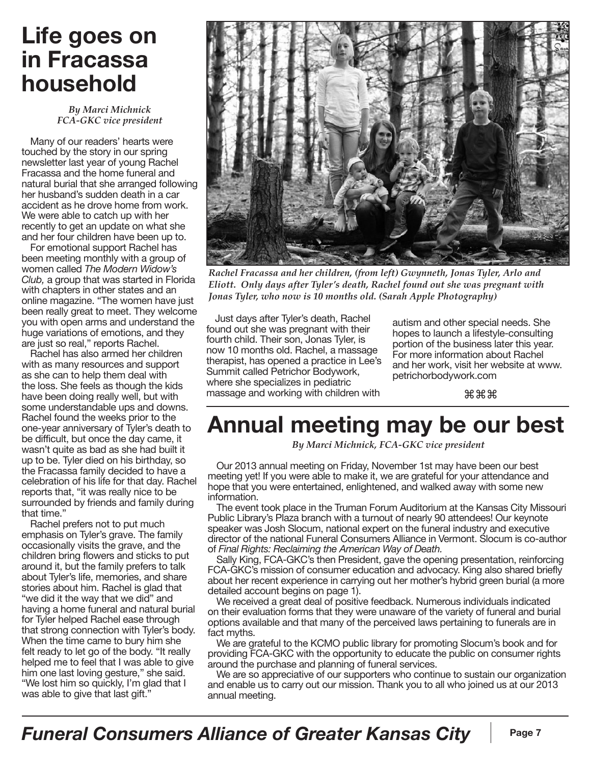#### **Life goes on in Fracassa household**

*By Marci Michnick FCA-GKC vice president*

Many of our readers' hearts were touched by the story in our spring newsletter last year of young Rachel Fracassa and the home funeral and natural burial that she arranged following her husband's sudden death in a car accident as he drove home from work. We were able to catch up with her recently to get an update on what she and her four children have been up to.

For emotional support Rachel has been meeting monthly with a group of women called *The Modern Widow's Club,* a group that was started in Florida with chapters in other states and an online magazine. "The women have just been really great to meet. They welcome you with open arms and understand the huge variations of emotions, and they are just so real," reports Rachel.

Rachel has also armed her children with as many resources and support as she can to help them deal with the loss. She feels as though the kids have been doing really well, but with some understandable ups and downs. Rachel found the weeks prior to the one-year anniversary of Tyler's death to be difficult, but once the day came, it wasn't quite as bad as she had built it up to be. Tyler died on his birthday, so the Fracassa family decided to have a celebration of his life for that day. Rachel reports that, "it was really nice to be surrounded by friends and family during that time."

Rachel prefers not to put much emphasis on Tyler's grave. The family occasionally visits the grave, and the children bring flowers and sticks to put around it, but the family prefers to talk about Tyler's life, memories, and share stories about him. Rachel is glad that "we did it the way that we did" and having a home funeral and natural burial for Tyler helped Rachel ease through that strong connection with Tyler's body. When the time came to bury him she felt ready to let go of the body. "It really helped me to feel that I was able to give him one last loving gesture," she said. "We lost him so quickly, I'm glad that I was able to give that last gift."



*Rachel Fracassa and her children, (from left) Gwynneth, Jonas Tyler, Arlo and Eliott. Only days after Tyler's death, Rachel found out she was pregnant with Jonas Tyler, who now is 10 months old. (Sarah Apple Photography)*

Just days after Tyler's death, Rachel found out she was pregnant with their fourth child. Their son, Jonas Tyler, is now 10 months old. Rachel, a massage therapist, has opened a practice in Lee's Summit called Petrichor Bodywork, where she specializes in pediatric massage and working with children with

autism and other special needs. She hopes to launch a lifestyle-consulting portion of the business later this year. For more information about Rachel and her work, visit her website at www. petrichorbodywork.com

⌘⌘⌘

## **Annual meeting may be our best**

*By Marci Michnick, FCA-GKC vice president*

Our 2013 annual meeting on Friday, November 1st may have been our best meeting yet! If you were able to make it, we are grateful for your attendance and hope that you were entertained, enlightened, and walked away with some new information.

The event took place in the Truman Forum Auditorium at the Kansas City Missouri Public Library's Plaza branch with a turnout of nearly 90 attendees! Our keynote speaker was Josh Slocum, national expert on the funeral industry and executive director of the national Funeral Consumers Alliance in Vermont. Slocum is co-author of *Final Rights: Reclaiming the American Way of Death.* 

Sally King, FCA-GKC's then President, gave the opening presentation, reinforcing FCA-GKC's mission of consumer education and advocacy. King also shared briefly about her recent experience in carrying out her mother's hybrid green burial (a more detailed account begins on page 1).

We received a great deal of positive feedback. Numerous individuals indicated on their evaluation forms that they were unaware of the variety of funeral and burial options available and that many of the perceived laws pertaining to funerals are in fact myths.

We are grateful to the KCMO public library for promoting Slocum's book and for providing FCA-GKC with the opportunity to educate the public on consumer rights around the purchase and planning of funeral services.

We are so appreciative of our supporters who continue to sustain our organization and enable us to carry out our mission. Thank you to all who joined us at our 2013 annual meeting.